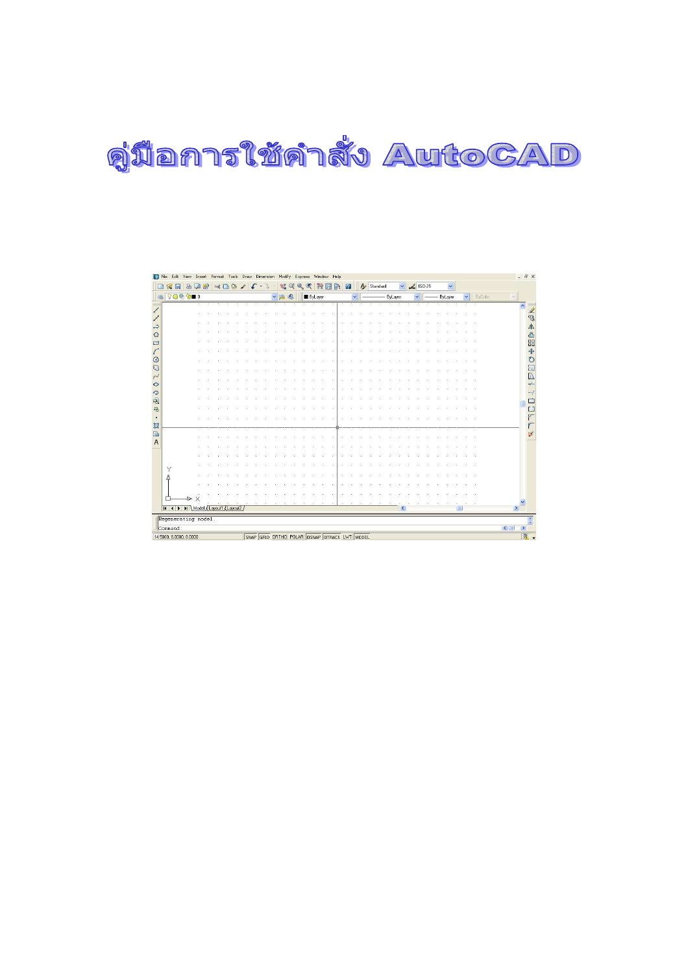## คู่มือการใช้คำสั่ง AutoCAD

| Ы<br>滲   | S<br>ها<br>$QQ \oplus Q = 0$      | 2 | $\rightarrow 6$ | B | $\bullet$ | $\mathcal I$ | c | ▼第七 | 驉 | œ | $\mathfrak{A}_i$ | $\mathbb{R}$<br><b>B</b> ByLayer | 諫 | 間 | 國 | $\sqrt{2}$   |  | A Standard | - ByLayer |  | $\frac{1}{2}$ ISO-25<br>$\checkmark$ |  | $\checkmark$<br>ByLayer | $\checkmark$ | ByColor |                                            |
|----------|-----------------------------------|---|-----------------|---|-----------|--------------|---|-----|---|---|------------------|----------------------------------|---|---|---|--------------|--|------------|-----------|--|--------------------------------------|--|-------------------------|--------------|---------|--------------------------------------------|
|          |                                   |   |                 |   |           |              |   |     |   |   |                  |                                  |   |   |   | $\checkmark$ |  |            |           |  |                                      |  |                         |              |         | $\mathcal{S}$                              |
|          |                                   |   |                 |   |           |              |   |     |   |   |                  |                                  |   |   |   |              |  |            |           |  |                                      |  |                         |              |         | $\overline{\phantom{a}}$                   |
|          |                                   |   |                 |   |           |              |   |     |   |   |                  |                                  |   |   |   |              |  |            |           |  |                                      |  |                         |              |         |                                            |
|          |                                   |   |                 |   |           |              |   |     |   |   |                  |                                  |   |   |   |              |  |            |           |  |                                      |  |                         |              |         |                                            |
|          |                                   |   |                 |   |           |              |   |     |   |   |                  |                                  |   |   |   |              |  |            |           |  |                                      |  |                         |              |         |                                            |
|          |                                   |   |                 |   |           |              |   |     |   |   |                  |                                  |   |   |   |              |  |            |           |  |                                      |  |                         |              |         |                                            |
|          |                                   |   |                 |   |           |              |   |     |   |   |                  |                                  |   |   |   |              |  |            |           |  |                                      |  |                         |              |         |                                            |
|          |                                   |   |                 |   |           |              |   |     |   |   |                  |                                  |   |   |   |              |  |            |           |  |                                      |  |                         |              |         |                                            |
|          |                                   |   |                 |   |           |              |   |     |   |   |                  |                                  |   |   |   |              |  |            |           |  |                                      |  |                         |              |         |                                            |
|          |                                   |   |                 |   |           |              |   |     |   |   |                  |                                  |   |   |   |              |  |            |           |  |                                      |  |                         |              |         |                                            |
|          |                                   |   |                 |   |           |              |   |     |   |   |                  |                                  |   |   |   |              |  |            |           |  |                                      |  |                         |              |         |                                            |
|          |                                   |   |                 |   |           |              |   |     |   |   |                  |                                  |   |   |   |              |  |            |           |  |                                      |  |                         |              |         |                                            |
|          |                                   |   |                 |   |           |              |   |     |   |   |                  |                                  |   |   |   |              |  |            |           |  |                                      |  |                         |              |         |                                            |
|          |                                   |   |                 |   |           |              |   |     |   |   |                  |                                  |   |   |   |              |  |            |           |  |                                      |  |                         |              |         |                                            |
|          | eb.                               |   |                 |   |           |              |   |     |   |   |                  |                                  |   |   |   |              |  |            |           |  |                                      |  |                         |              | 13.     |                                            |
|          |                                   |   |                 |   |           |              |   |     |   |   |                  |                                  |   |   |   |              |  |            |           |  |                                      |  |                         |              |         |                                            |
|          |                                   |   |                 |   |           |              |   |     |   |   |                  |                                  |   |   |   |              |  |            |           |  |                                      |  |                         |              |         |                                            |
|          |                                   |   |                 |   |           |              |   |     |   |   |                  |                                  |   |   |   |              |  |            |           |  |                                      |  |                         |              |         |                                            |
|          |                                   |   |                 |   |           |              |   |     |   |   |                  |                                  |   |   |   |              |  |            |           |  |                                      |  |                         |              |         |                                            |
|          |                                   |   |                 |   |           |              |   |     |   |   |                  |                                  |   |   |   |              |  |            |           |  |                                      |  |                         |              |         |                                            |
| Υ<br>Δ   |                                   |   |                 |   |           |              |   |     |   |   |                  |                                  |   |   |   |              |  |            |           |  |                                      |  |                         |              |         |                                            |
|          |                                   |   |                 |   |           |              |   |     |   |   |                  |                                  |   |   |   |              |  |            |           |  |                                      |  |                         |              |         |                                            |
|          |                                   |   |                 |   |           |              |   |     |   |   |                  |                                  |   |   |   |              |  |            |           |  |                                      |  |                         |              |         |                                            |
|          | $\times$<br>b.                    |   |                 |   |           |              |   |     |   |   |                  |                                  |   |   |   |              |  |            |           |  |                                      |  |                         |              |         |                                            |
|          | II I > II Model Layout1 Layout2 / |   |                 |   |           |              |   |     |   |   |                  |                                  |   |   |   |              |  |            |           |  |                                      |  |                         |              |         |                                            |
|          | Regenerating model.               |   |                 |   |           |              |   |     |   |   |                  |                                  |   |   |   |              |  |            |           |  |                                      |  |                         |              |         |                                            |
| Command: |                                   |   |                 |   |           |              |   |     |   |   |                  |                                  |   |   |   |              |  |            |           |  |                                      |  |                         |              |         | $\left \mathbf{L}\right $<br>$\rightarrow$ |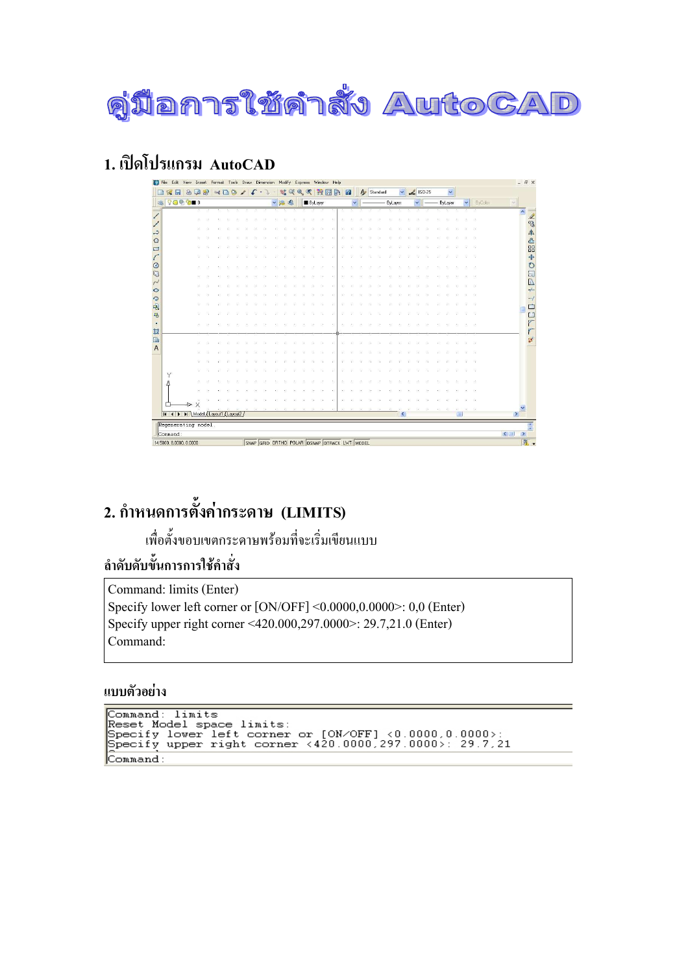

#### 1. เปิดโปรแกรม AutoCAD

| <b>FB</b> File<br>Edit        | View<br>Insert   |   | Format        | Tools   |   | Draw Dimension                               |     | Modify |   | Express        |                  | Window | Help |   |              |                    |          |           |        |                    |  |              |        |         | - 日 ×                                   |
|-------------------------------|------------------|---|---------------|---------|---|----------------------------------------------|-----|--------|---|----------------|------------------|--------|------|---|--------------|--------------------|----------|-----------|--------|--------------------|--|--------------|--------|---------|-----------------------------------------|
| 圆                             | ه ا<br>$\bullet$ | 要 | $\rightarrow$ | $\circ$ | v |                                              |     | 赋      | œ | $\mathfrak{A}$ |                  | 濲      | 間    | 卧 | $\sqrt{2}$   | $\bigtriangledown$ | Standard |           | $\vee$ | $\frac{2}{150-25}$ |  | $\checkmark$ |        |         |                                         |
| $QQ \otimes Q = 0$            |                  |   |               |         |   |                                              | vse |        |   |                | <b>B</b> ByLayer |        |      |   | $\checkmark$ |                    |          | - ByLayer |        | $\checkmark$       |  | ByLayer      | $\vee$ | ByColor | $\sim$                                  |
|                               |                  |   |               |         |   |                                              |     |        |   |                |                  |        |      |   |              |                    |          |           |        |                    |  |              |        |         | $\overline{\phantom{a}}$                |
|                               |                  |   |               |         |   |                                              |     |        |   |                |                  |        |      |   |              |                    |          |           |        |                    |  |              |        |         |                                         |
|                               |                  |   |               |         |   |                                              |     |        |   |                |                  |        |      |   |              |                    |          |           |        |                    |  |              |        |         |                                         |
|                               |                  |   |               |         |   |                                              |     |        |   |                |                  |        |      |   |              |                    |          |           |        |                    |  |              |        |         |                                         |
|                               |                  |   |               |         |   |                                              |     |        |   |                |                  |        |      |   |              |                    |          |           |        |                    |  |              |        |         |                                         |
|                               |                  |   |               |         |   |                                              |     |        |   |                |                  |        |      |   |              |                    |          |           |        |                    |  |              |        |         |                                         |
|                               |                  |   |               |         |   |                                              |     |        |   |                |                  |        |      |   |              |                    |          |           |        |                    |  |              |        |         |                                         |
|                               |                  |   |               |         |   |                                              |     |        |   |                |                  |        |      |   |              |                    |          |           |        |                    |  |              |        |         |                                         |
|                               |                  |   |               |         |   |                                              |     |        |   |                |                  |        |      |   |              |                    |          |           |        |                    |  |              |        |         |                                         |
|                               |                  |   |               |         |   |                                              |     |        |   |                |                  |        |      |   |              |                    |          |           |        |                    |  |              |        |         |                                         |
|                               |                  |   |               |         |   |                                              |     |        |   |                |                  |        |      |   |              |                    |          |           |        |                    |  |              |        |         |                                         |
|                               |                  |   |               |         |   |                                              |     |        |   |                |                  |        |      |   |              |                    |          |           |        |                    |  |              |        |         |                                         |
|                               |                  |   |               |         |   |                                              |     |        |   |                |                  |        |      |   |              |                    |          |           |        |                    |  |              |        |         |                                         |
|                               | 15               | × |               |         |   |                                              |     |        |   |                |                  |        |      |   |              |                    |          |           |        |                    |  |              |        |         |                                         |
|                               |                  |   |               |         |   |                                              |     |        |   |                |                  |        |      |   |              |                    |          |           |        |                    |  |              |        |         |                                         |
|                               |                  |   |               |         |   |                                              |     |        |   |                |                  |        |      |   |              |                    |          |           |        |                    |  |              |        |         |                                         |
|                               |                  |   |               |         |   |                                              |     |        |   |                |                  |        |      |   |              |                    |          |           |        |                    |  |              |        |         |                                         |
|                               |                  |   |               |         |   |                                              |     |        |   |                |                  |        |      |   |              |                    |          |           |        |                    |  |              |        |         |                                         |
|                               |                  |   |               |         |   |                                              |     |        |   |                |                  |        |      |   |              |                    |          |           |        |                    |  |              |        |         |                                         |
| Y                             |                  |   |               |         |   |                                              |     |        |   |                |                  |        |      |   |              |                    |          |           |        |                    |  |              |        |         |                                         |
|                               |                  |   |               |         |   |                                              |     |        |   |                |                  |        |      |   |              |                    |          |           |        |                    |  |              |        |         |                                         |
|                               |                  |   |               |         |   |                                              |     |        |   |                |                  |        |      |   |              |                    |          |           |        |                    |  |              |        |         |                                         |
|                               | $\times$         |   |               |         |   |                                              |     |        |   |                |                  |        |      |   |              |                    |          |           |        |                    |  |              |        |         | M                                       |
| H 4 > > Model Layout1 Layout2 |                  |   |               |         |   |                                              |     |        |   |                |                  |        |      |   |              |                    |          |           | K      |                    |  |              |        |         |                                         |
| Regenerating model.           |                  |   |               |         |   |                                              |     |        |   |                |                  |        |      |   |              |                    |          |           |        |                    |  |              |        |         |                                         |
| Command:                      |                  |   |               |         |   |                                              |     |        |   |                |                  |        |      |   |              |                    |          |           |        |                    |  |              |        |         | $\left  \right\rangle$<br>$\rightarrow$ |
| 14.5000, 8.0000, 0.0000       |                  |   |               |         |   | SNAP GRID ORTHO POLAR OSNAP OTRACK LWT MODEL |     |        |   |                |                  |        |      |   |              |                    |          |           |        |                    |  |              |        |         |                                         |

### 2. กำหนดการตั้งค่ากระดาษ (LIMITS)

พื่อตั้งขอบเขตกระคาษพร้อมที่จะเริ่มเขียนแบบ

ี<br>ลำดับดับขั้นการการใช้คำสั่ง

-

Command: limits (Enter) Specify lower left corner or [ON/OFF] <0.0000,0.0000>: 0,0 (Enter) Specify upper right corner <420.000,297.0000>: 29.7,21.0 (Enter) Command:

#### แบบตัวอย่าง

```
Command: limits<br>Reset Model space limits:<br>Specify lower left corner or [ON/OFF] <0.0000,0.0000>:<br>Specify upper right corner <420.0000,297.0000>: 29.7,21
Command:
```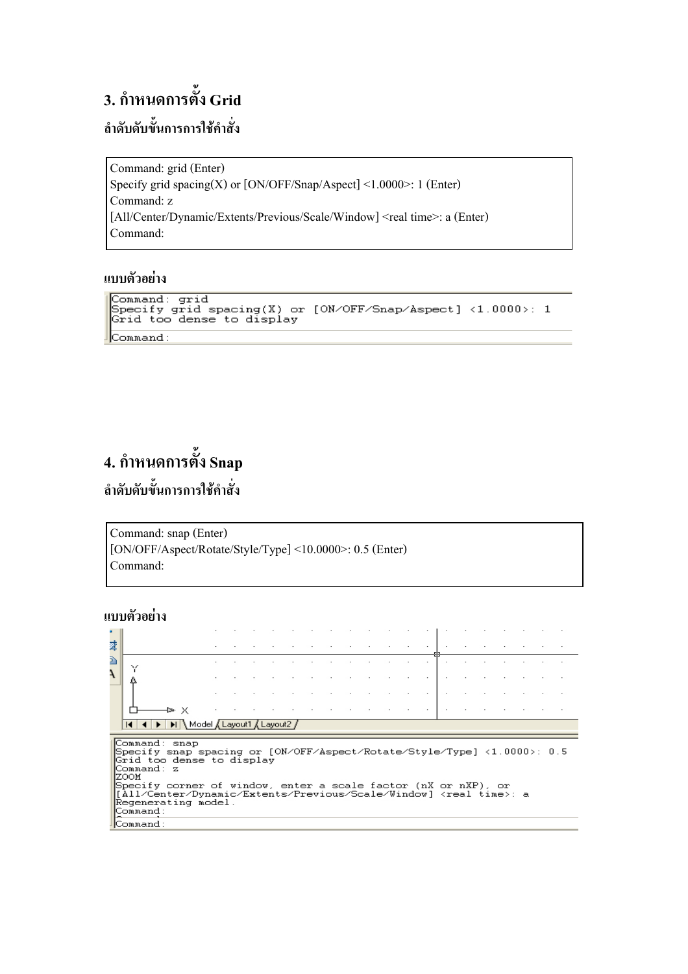## **3. กำหนดการตั้ง Grid** ี<br>ลำดับดับขั้นการการใช้คำสั่ง

Command: grid (Enter) Specify grid spacing(X) or [ON/OFF/Snap/Aspect] <1.0000>: 1 (Enter) Command: z [All/Center/Dynamic/Extents/Previous/Scale/Window] <real time>: a (Enter) Command:

#### แบบตัวอย่าง

```
Command: grid<br>Specify grid spacing(X) or [ON/OFF/Snap/Aspect] <1.0000>: 1<br>Grid too dense to display
Grid too dense to display
Command:
```
#### **4. กำหนดการตั้ง Snap** ่ ลำดับดับขั้นการการใช้คำสั่ง

```
Command: snap (Enter)
[ON/OFF/Aspect/Rotate/Style/Type] <10.0000>: 0.5 (Enter) 
Command:
```
#### แบบตัวอย่าง

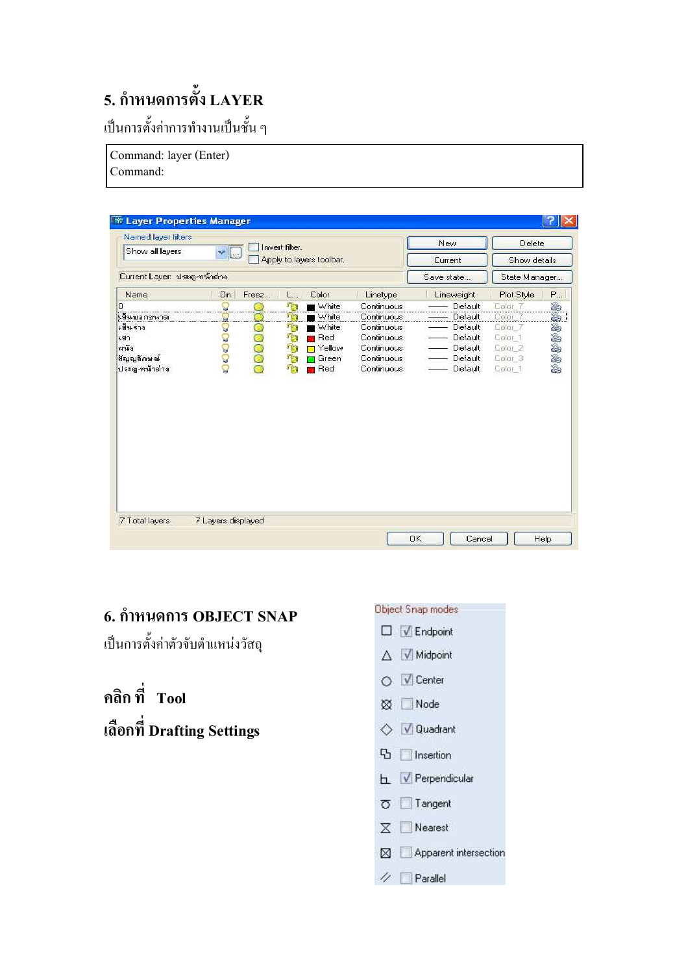## 5. กำหนดการตั้ง LAYER

เป็นการตั้งค่าการทำงานเป็นชั้น ๆ

Command: layer (Enter)

| Command: |
|----------|
|----------|

| Show all layers<br>Apply to layers toolbar.<br>Show details<br><b>Current</b><br>Current Layer: ประตู-หน้าต่าง<br>State Manager<br>Save state<br>Name<br>On<br>Color<br>Freez<br>Linetype<br>Lineweight<br>Plot Style<br>Ł.<br>T<br><b>of a</b> a a a a<br>■ White<br>Continuous<br>Default<br>Color 7<br>ń<br>White<br>Default<br>Continuous<br>Color<br>White<br>Default<br>Continuous<br>罕<br>Color 7<br>න්ගරයෙ<br>q,<br>Continuous<br>Default<br><b>Red</b><br>Color 1<br>T.<br>Yellow<br>Color 2<br>Continuous<br>- Default<br>93<br>สัญญลักษณ์<br>Continuous<br>Green<br>Default<br>Color 3<br>ประตู หน้าต่าง<br>$\tau_{\rm F}$<br>Red<br>Continuous<br>Default<br>Color 1 | Named layer filters |                    | Invert filter. |  | New | Delete |   |
|----------------------------------------------------------------------------------------------------------------------------------------------------------------------------------------------------------------------------------------------------------------------------------------------------------------------------------------------------------------------------------------------------------------------------------------------------------------------------------------------------------------------------------------------------------------------------------------------------------------------------------------------------------------------------------|---------------------|--------------------|----------------|--|-----|--------|---|
|                                                                                                                                                                                                                                                                                                                                                                                                                                                                                                                                                                                                                                                                                  |                     |                    |                |  |     |        |   |
|                                                                                                                                                                                                                                                                                                                                                                                                                                                                                                                                                                                                                                                                                  |                     |                    |                |  |     |        |   |
|                                                                                                                                                                                                                                                                                                                                                                                                                                                                                                                                                                                                                                                                                  |                     |                    |                |  |     |        | P |
|                                                                                                                                                                                                                                                                                                                                                                                                                                                                                                                                                                                                                                                                                  | 0                   |                    |                |  |     |        |   |
|                                                                                                                                                                                                                                                                                                                                                                                                                                                                                                                                                                                                                                                                                  | มมีนบอกขนาด         |                    |                |  |     |        |   |
|                                                                                                                                                                                                                                                                                                                                                                                                                                                                                                                                                                                                                                                                                  | เส้นร่าง            |                    |                |  |     |        |   |
|                                                                                                                                                                                                                                                                                                                                                                                                                                                                                                                                                                                                                                                                                  | rau                 |                    |                |  |     |        |   |
|                                                                                                                                                                                                                                                                                                                                                                                                                                                                                                                                                                                                                                                                                  | 81943               |                    |                |  |     |        |   |
|                                                                                                                                                                                                                                                                                                                                                                                                                                                                                                                                                                                                                                                                                  |                     |                    |                |  |     |        |   |
|                                                                                                                                                                                                                                                                                                                                                                                                                                                                                                                                                                                                                                                                                  |                     |                    |                |  |     |        |   |
|                                                                                                                                                                                                                                                                                                                                                                                                                                                                                                                                                                                                                                                                                  |                     |                    |                |  |     |        |   |
|                                                                                                                                                                                                                                                                                                                                                                                                                                                                                                                                                                                                                                                                                  |                     |                    |                |  |     |        |   |
|                                                                                                                                                                                                                                                                                                                                                                                                                                                                                                                                                                                                                                                                                  | 7 Total layers      | 7 Layers displayed |                |  |     |        |   |

#### 6. กำหนดการ OBJECT SNAP

เป็นการตั้งค่าตัวจับตำแหน่งวัสถุ

คลิกที่  $\overrightarrow{n}$ เลือกที่ Drafting Settings

#### Object Snap modes

- $\square$   $\nabla$  Endpoint
- $\triangle$  V Midpoint
- O V Center
- $\otimes$  Node
- $\Diamond$   $\forall$  Quadrant
- **B** Insertion
- **b** √ Perpendicular
- **て Tangent**
- $X \Box$  Nearest
- Apparent intersection

#### $\not\equiv$  Parallel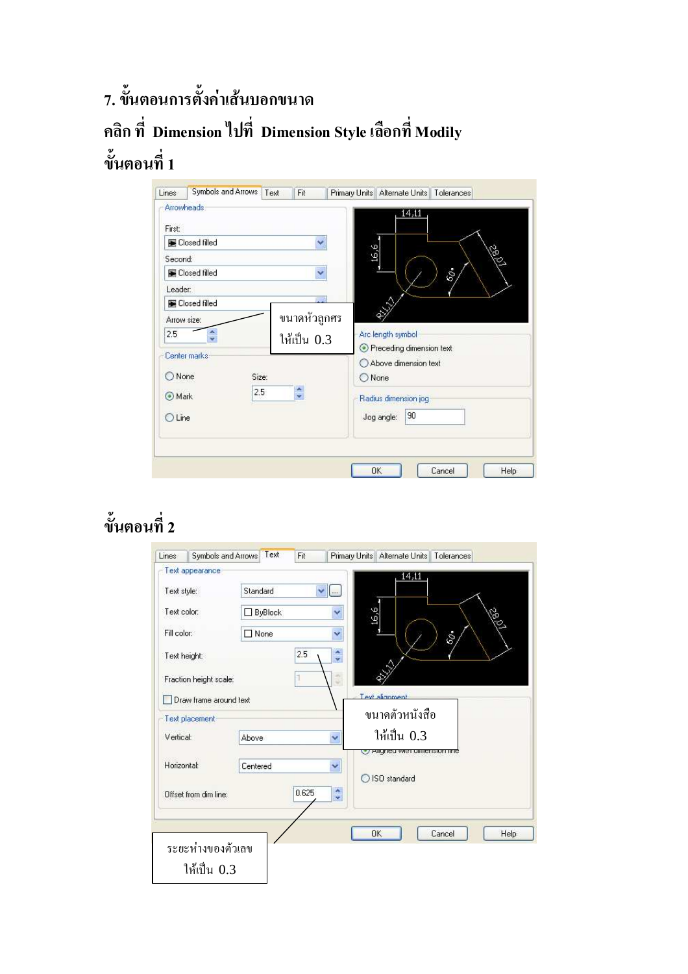7. ขั้นตอนการตั้งค่าเส้นบอกขนาด คลิก ที่ Dimension ไปที่ Dimension Style เลือกที่ Modily ขั้นตอนที่ 1

| Lines                        | Symbols and Arrows                                                                        | Text<br>Fit                 | Primary Units   Alternate Units   Tolerances           |
|------------------------------|-------------------------------------------------------------------------------------------|-----------------------------|--------------------------------------------------------|
| First:<br>Second:<br>Leader: | Arrowheads:<br><b>E</b> Closed filled<br><b>E</b> Closed filled<br><b>E</b> Closed filled | Y<br>Y                      | 14,11<br>9'91<br>S.<br>$\delta\rho$ .<br>♦             |
| 2.5                          | Arrow size:                                                                               | ขนาดหัวถูกศร<br>ให้เป็น 0.3 | Arc length symbol<br>Receding dimension text           |
| None<br>Mark                 | Center marks<br>Size:<br>$2.5^{\circ}$                                                    |                             | Above dimension text<br>O None<br>Radius dimension jog |
| O Line                       |                                                                                           |                             | 90<br>Jog angle:                                       |
|                              |                                                                                           |                             | <b>OK</b><br>Cancel<br>Help                            |

## ขั้นตอนที่ 2

| Lines<br>Text appearance | Text<br>Symbols and Arrows<br>Fit | Primary Units   Alternate Units   Tolerances |
|--------------------------|-----------------------------------|----------------------------------------------|
|                          | Standard                          | 14,11                                        |
| Text style:              |                                   | $\vee$ $\Box$                                |
| Text color:              | $\Box$ ByBlock                    | 9'91<br>Y<br>S                               |
| Fill color:              | □ None                            | Y<br>$\delta\!Q}$ .                          |
| Text height:             | 2.5                               | A.<br>$\mathbf{v}$                           |
| Fraction height scale:   |                                   | $\overline{\phantom{a}}$<br>٠                |
| Draw frame around text   |                                   | Text alignment                               |
| Text placement           |                                   | ขนาดตัวหนังสือ                               |
| Vertical:                | <b>Above</b>                      | ให้เป็น 0.3<br>×                             |
| Horizontal:              | Centered                          | All Altrea with all responsibilities<br>Y    |
| Offset from dim line:    | 0.625                             | ISO standard<br>۸<br>v                       |
|                          |                                   |                                              |
|                          |                                   | OK<br>Cancel<br>Help                         |
| ระยะห่างของตัวเลข        |                                   |                                              |
| ให้เป็น 0.3              |                                   |                                              |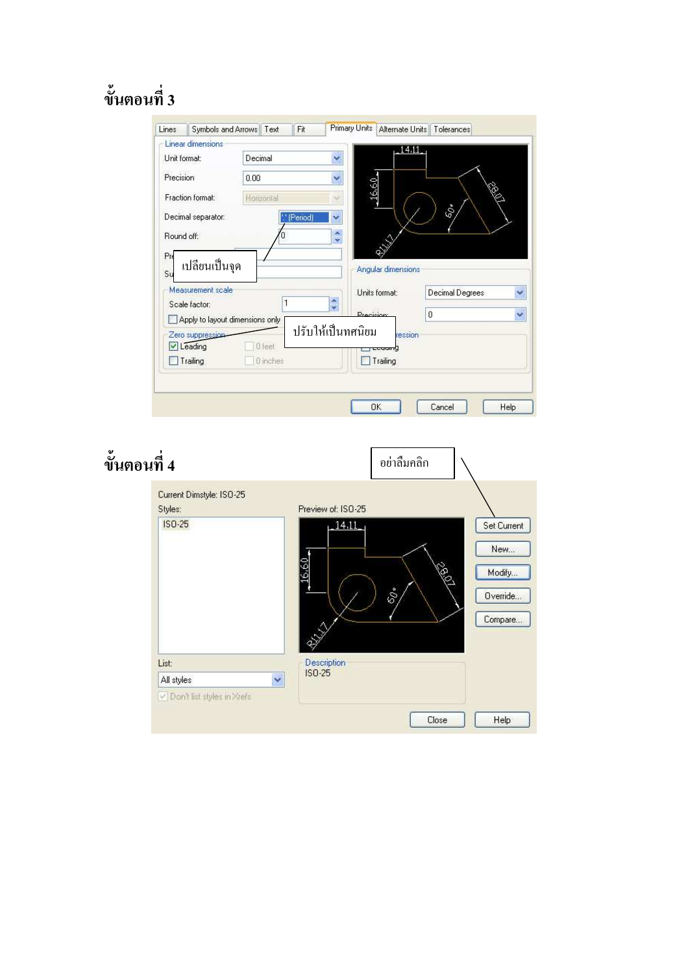## ขั้นตอนที่ 3

|                                   | Decimal    |                                       | $-14.11$                                     |
|-----------------------------------|------------|---------------------------------------|----------------------------------------------|
| Unit format:                      |            | Y                                     |                                              |
| Precision                         | 0.00       | Y                                     |                                              |
| Fraction format:                  | Horizontal | 16.60                                 |                                              |
| Decimal separator:                | (Period)   | Ÿ                                     | Ŝ                                            |
| Round off:                        |            | ×<br>$\mathbf{v}$                     |                                              |
| Pn                                |            |                                       |                                              |
| เปลี่ยนเป็นจุด                    |            | Angular dimensions                    |                                              |
|                                   |            |                                       |                                              |
| Measurement scale                 |            | Units format:                         |                                              |
| Scale factor:                     |            | ×                                     | Decimal Degrees                              |
|                                   |            | v<br><b>Precision</b>                 | O                                            |
| Apply to layout dimensions only   |            |                                       |                                              |
| Su<br>Zero suppression<br>Leading | 0 feet     | ปรับให้เป็นทศนิยม<br>ression<br>caama |                                              |
| Trailing                          | 0 inches   | Trailing                              | $\ddot{\phantom{0}}$<br>$\ddot{\phantom{0}}$ |

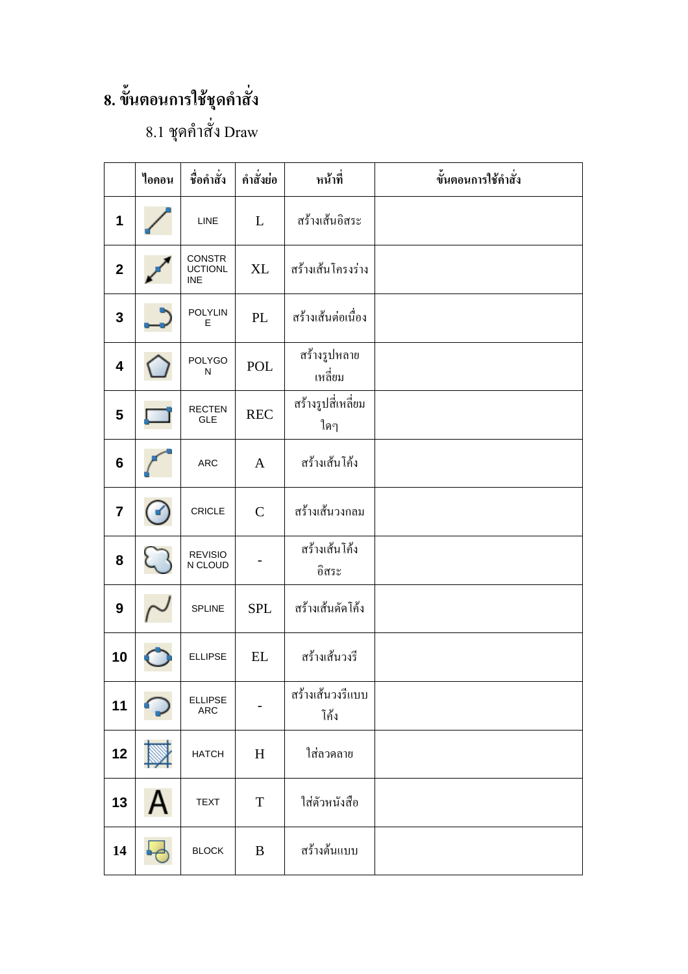## 8. ขั้นตอนการใช้ชุดคำสั่ง

## $8.1$  ชุดคำสั่ง Draw

|                         | ไอคอน | ชื่อคำสั่ง                             | คำสั่งย่อ         | หน้าที่                   | ขั้นตอนการใช้คำสั่ง |
|-------------------------|-------|----------------------------------------|-------------------|---------------------------|---------------------|
| 1                       |       | LINE                                   | L                 | สร้างเส้นอิสระ            |                     |
| $\overline{2}$          |       | CONSTR<br><b>UCTIONL</b><br><b>INE</b> | XL                | สร้างเส้นโครงร่าง         |                     |
| 3                       |       | <b>POLYLIN</b><br>Е                    | PL                | สร้างเส้นต่อเนื่อง        |                     |
| 4                       |       | POLYGO<br>N                            | POL               | สร้างรูปหลาย<br>เหลี่ยม   |                     |
| 5                       |       | <b>RECTEN</b><br>GLE                   | <b>REC</b>        | สร้างรูปสี่เหลี่ยม<br>ใดๆ |                     |
| $6\phantom{1}$          |       | <b>ARC</b>                             | $\mathbf{A}$      | สร้างเส้นโค้ง             |                     |
| $\overline{\mathbf{7}}$ | к     | CRICLE                                 | $\mathcal{C}$     | สร้างเส้นวงกลม            |                     |
| 8                       |       | <b>REVISIO</b><br>N CLOUD              |                   | สร้างเส้นโค้ง<br>อิสระ    |                     |
| 9                       |       | <b>SPLINE</b>                          | <b>SPL</b>        | สร้างเส้นดัดโค้ง          |                     |
| 10                      |       | <b>ELLIPSE</b>                         | $\mathop{\rm EL}$ | สร้างเส้นวงรี             |                     |
| 11                      |       | <b>ELLIPSE</b><br>ARC                  |                   | สร้างเส้นวงรีแบบ<br>โค้ง  |                     |
| 12                      |       | <b>HATCH</b>                           | H                 | ใส่ลวดลาย                 |                     |
| 13                      |       | <b>TEXT</b>                            | $\mathbf T$       | ใส่ตัวหนังสือ             |                     |
| 14                      |       | <b>BLOCK</b>                           | B                 | สร้างต้นแบบ               |                     |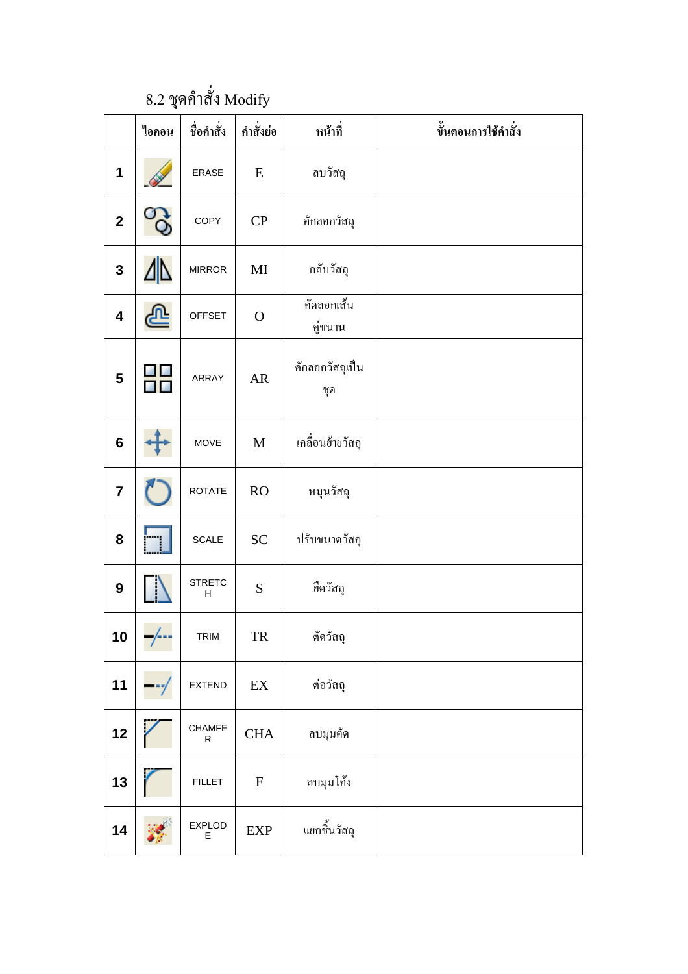$8.2$  ชุดคำสั่ง Modify

|                         | ไอคอน                 | ชื่อคำสั่ง         | คำสั่งย่อ                  | หน้าที่                | ขั้นตอนการใช้คำสั่ง |
|-------------------------|-----------------------|--------------------|----------------------------|------------------------|---------------------|
| 1                       |                       | <b>ERASE</b>       | E                          | ลบวัสถุ                |                     |
| $\mathbf{2}$            | <b>O</b>              | COPY               | CP                         | คักลอกวัสถุ            |                     |
| $\mathbf{3}$            | Δ                     | <b>MIRROR</b>      | $\mathbf{M}\mathbf{I}$     | กลับวัสถุ              |                     |
| $\overline{\mathbf{4}}$ | $\hat{\mathbf{\Phi}}$ | <b>OFFSET</b>      | $\mathbf O$                | คัดลอกเส้น<br>คู่ขนาน  |                     |
| $\overline{\mathbf{5}}$ |                       | ARRAY              | AR                         | คักลอกวัสถุเป็น<br>ชุค |                     |
| $6\phantom{1}6$         |                       | MOVE               | $\mathbf M$                | เคลื่อนย้ายวัสถุ       |                     |
| $\overline{7}$          |                       | <b>ROTATE</b>      | RO                         | หมุนวัสถุ              |                     |
| 8                       |                       | <b>SCALE</b>       | <b>SC</b>                  | ปรับขนาดวัสถุ          |                     |
| $\boldsymbol{9}$        |                       | <b>STRETC</b><br>н | ${\bf S}$                  | ขีดวัสถุ               |                     |
| 10                      | T                     | TRIM               | <b>TR</b>                  | ตัดวัสถุ               |                     |
| 11                      |                       | <b>EXTEND</b>      | $\mathop{\rm EX}\nolimits$ | ต่อวัสถุ               |                     |
| 12                      |                       | CHAMFE<br>R        | $\rm CHA$                  | ลบมุมตัด               |                     |
| 13                      |                       | <b>FILLET</b>      | ${\bf F}$                  | ลบมุมโค้ง              |                     |
| 14                      |                       | <b>EXPLOD</b><br>E | <b>EXP</b>                 | แยกชิ้นวัสถุ           |                     |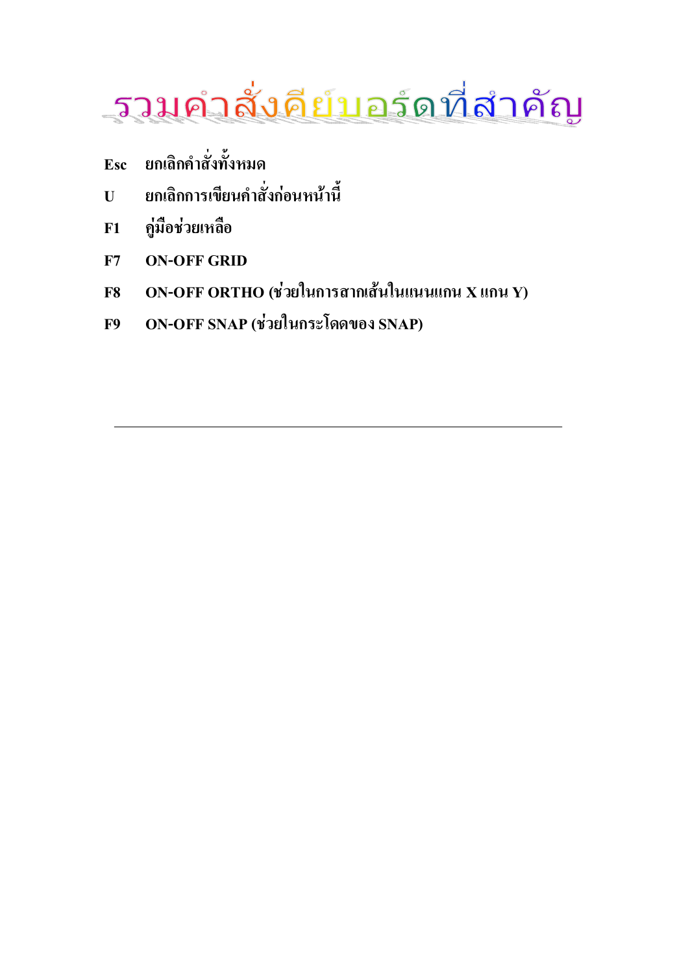

- ยกเลิกคำสั่งทั้งหมด Esc
- ยกเลิกการเขียนคำสั่งก่อนหน้านี้  $\mathbf{U}$
- คู่มือช่วยเหลือ  $F1$
- **ON-OFF GRID**  $F7$
- ON-OFF ORTHO (ช่วยในการสากเส้นในแนนแกน X แกน Y) **F8**
- ON-OFF SNAP (ช่วยในกระโดดของ SNAP) **F9**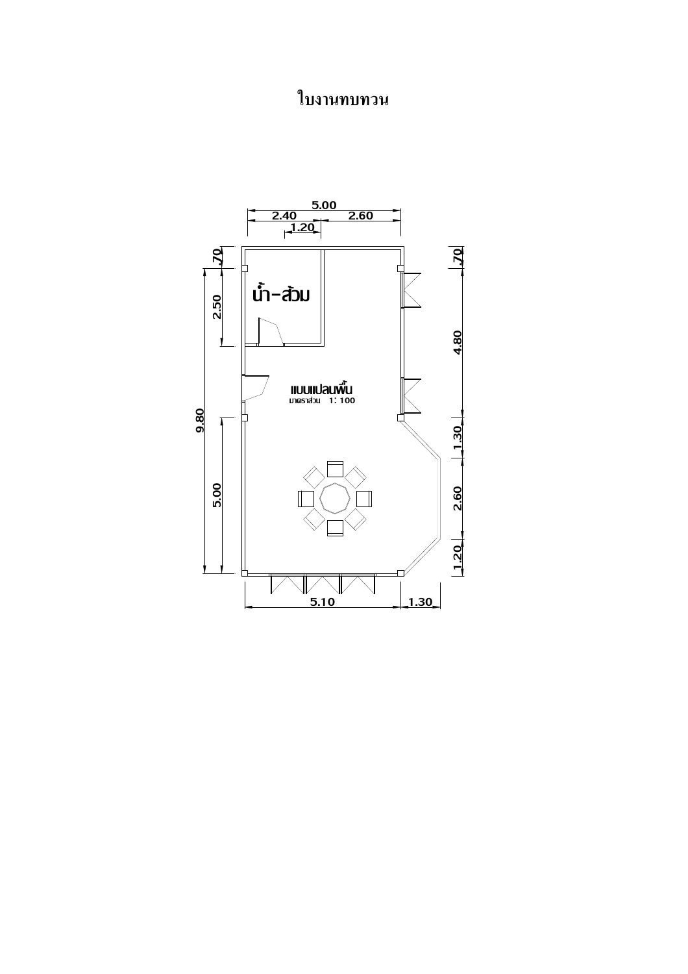## ใบงานทบทวน

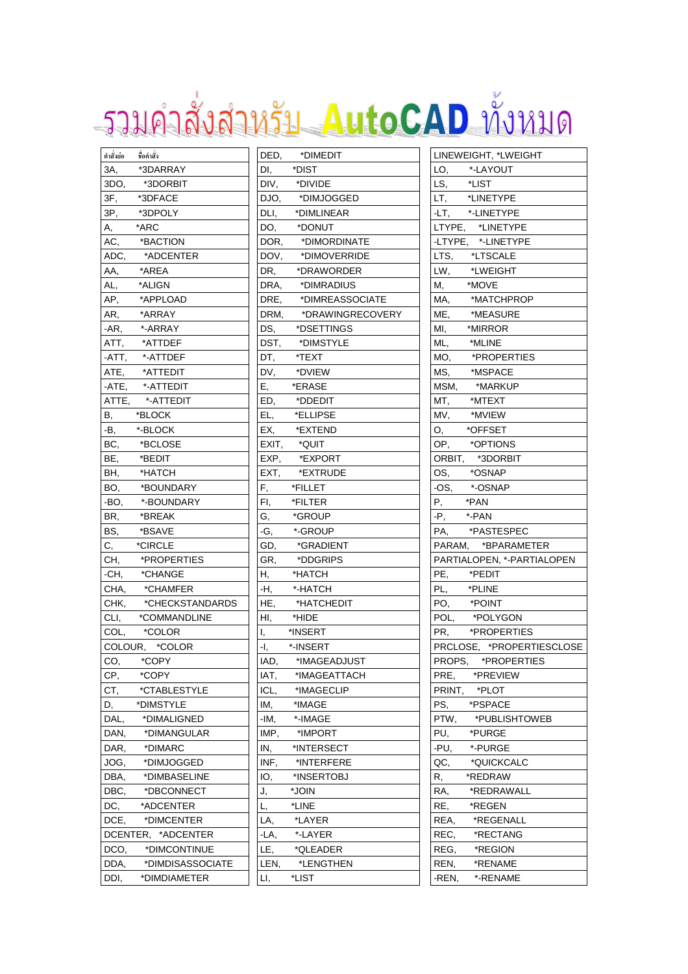# รวมคำสั่งสำหรับ AutoCAD ทั้งหมด

| คำสั่งย่อ  | ชื่อคำสั่ง         |
|------------|--------------------|
| 3A,        | *3DARRAY           |
| 3DO,       | *3DORBIT           |
| 3F,        | *3DFACE            |
| 3P,        | *3DPOLY            |
| А,         | *ARC               |
| AC,        | *BACTION           |
| ADC,       | *ADCENTER          |
| AA,        | *AREA              |
| AL,        | *ALIGN             |
| AP,        | *APPLOAD           |
| AR,        | *ARRAY             |
| -AR,       | *-ARRAY            |
| ATT,       | *ATTDEF            |
| -ATT,      | *-ATTDEF           |
| ATE,       | *ATTEDIT           |
| -ATE,      | *-ATTEDIT          |
| ATTE,      | *-ATTEDIT          |
| В,         | *BLOCK             |
| -В,        | *-BLOCK            |
| BC,        | *BCLOSE            |
| BE,        | *BEDIT             |
|            | *HATCH             |
| BH,<br>BO, |                    |
|            | *BOUNDARY          |
| -BO,       | *-BOUNDARY         |
| BR,        | *BREAK             |
| BS,        | *BSAVE             |
| C,         | *CIRCLE            |
| CH,        | *PROPERTIES        |
| -CH,       | *CHANGE            |
| CHA,       | *CHAMFER           |
| CHK,       | *CHECKSTANDARDS    |
| CLI,       | *COMMANDLINE       |
| COL,       | *COLOR             |
|            | COLOUR, *COLOR     |
| CO,        | *COPY              |
| CP,        | *COPY              |
| CT,        | *CTABLESTYLE       |
| D,         | *DIMSTYLE          |
| DAL,       | *DIMALIGNED        |
| DAN,       | *DIMANGULAR        |
| DAR,       | *DIMARC            |
| JOG,       | *DIMJOGGED         |
| DBA,       | *DIMBASELINE       |
| DBC,       | *DBCONNECT         |
| DC,        | *ADCENTER          |
| DCE,       | *DIMCENTER         |
|            | DCENTER, *ADCENTER |
| DCO,       | *DIMCONTINUE       |
| DDA,       | *DIMDISASSOCIATE   |
| DDI,       | *DIMDIAMETER       |
|            |                    |

| DED,  | *DIMEDIT         |
|-------|------------------|
| DI,   | *DIST            |
| DIV,  | *DIVIDE          |
| DJO,  | *DIMJOGGED       |
| DLI,  | *DIMLINEAR       |
| DO,   | *DONUT           |
| DOR,  | *DIMORDINATE     |
| DOV,  | *DIMOVERRIDE     |
| DR,   | *DRAWORDER       |
| DRA,  | *DIMRADIUS       |
| DRE,  | *DIMREASSOCIATE  |
| DRM,  | *DRAWINGRECOVERY |
| DS,   | *DSETTINGS       |
| DST,  | *DIMSTYLE        |
| DT,   | *TEXT            |
| DV,   | *DVIEW           |
| E,    | *ERASE           |
| ED,   | *DDEDIT          |
| EL,   | *ELLIPSE         |
| EX,   | *EXTEND          |
| EXIT, | *QUIT            |
| EXP,  | *EXPORT          |
| EXT,  | *EXTRUDE         |
| F,    | *FILLET          |
| FI,   | *FILTER          |
| G,    | *GROUP           |
| -G,   | *-GROUP          |
| GD,   | *GRADIENT        |
| GR,   | *DDGRIPS         |
| Η,    | *HATCH           |
| -H,   | *-HATCH          |
| HE,   | *HATCHEDIT       |
| HI,   | *HIDE            |
| I,    | *INSERT          |
| ٠١,   | *-INSERT         |
| IAD,  | *IMAGEADJUST     |
| IAT,  | *IMAGEATTACH     |
| ICL,  | *IMAGECLIP       |
| IM,   | *IMAGE           |
| -IM,  | *-IMAGE          |
| IMP,  | *IMPORT          |
| IN,   | *INTERSECT       |
| INF,  | *INTERFERE       |
|       | *INSERTOBJ       |
| IO,   |                  |
| J,    | *JOIN<br>*LINE   |
| L,    |                  |
| LA,   | *LAYER           |
| $-LA$ | *-LAYER          |
| LE,   | *QLEADER         |
| LEN,  | *LENGTHEN        |
| LI,   | *LIST            |

| LINEWEIGHT, *LWEIGHT                   |
|----------------------------------------|
| *-LAYOUT<br>LO,                        |
| *LIST<br>LS,                           |
| *LINETYPE<br>LT,                       |
| *-LINETYPE<br>-LT,                     |
|                                        |
| LTYPE, *LINETYPE<br>-LTYPE, *-LINETYPE |
| *LTSCALE<br>LTS,                       |
| <b>*LWEIGHT</b><br>LW,                 |
| *MOVE<br>М,                            |
| MA,<br>*MATCHPROP                      |
| *MEASURE<br>ME,                        |
| *MIRROR<br>MI,                         |
| *MLINE<br>ML,                          |
| *PROPERTIES<br>MO,                     |
| *MSPACE<br>MS,                         |
| MSM,<br>*MARKUP                        |
| MT,<br>*MTEXT                          |
| *MVIEW<br>MV,                          |
| *OFFSET<br>О,                          |
| *OPTIONS<br>OP,                        |
| ORBIT, *3DORBIT                        |
| *OSNAP<br>OS,                          |
| -OS,<br>*-OSNAP                        |
| *PAN<br>Ρ,                             |
| *-PAN<br>-P,                           |
| *PASTESPEC<br>PA,                      |
| PARAM, *BPARAMETER                     |
| PARTIALOPEN, *- PARTIALOPEN            |
| *PEDIT<br>PE,                          |
| *PLINE<br>PL,                          |
| *POINT<br>PO,                          |
| POL, *POLYGON                          |
| PR, *PROPERTIES                        |
| PRCLOSE, *PROPERTIESCLOSE              |
| *PROPERTIES<br>PROPS.                  |
| *PREVIEW<br>PRE,                       |
| *PLOT<br>PRINT,                        |
| *PSPACE<br>PS,                         |
| *PUBLISHTOWEB<br>PTW,                  |
| *PURGE<br>PU,                          |
| *-PURGE<br>-PU,                        |
| *QUICKCALC<br>QC,                      |
| *REDRAW<br>R,                          |
| *REDRAWALL<br>RA,                      |
| *REGEN<br>RE,                          |
| *REGENALL<br>REA,                      |
| *RECTANG<br>REC,                       |
| *REGION<br>REG,                        |
| REN,<br>*RENAME                        |
| *-RENAME<br>-REN,                      |
|                                        |